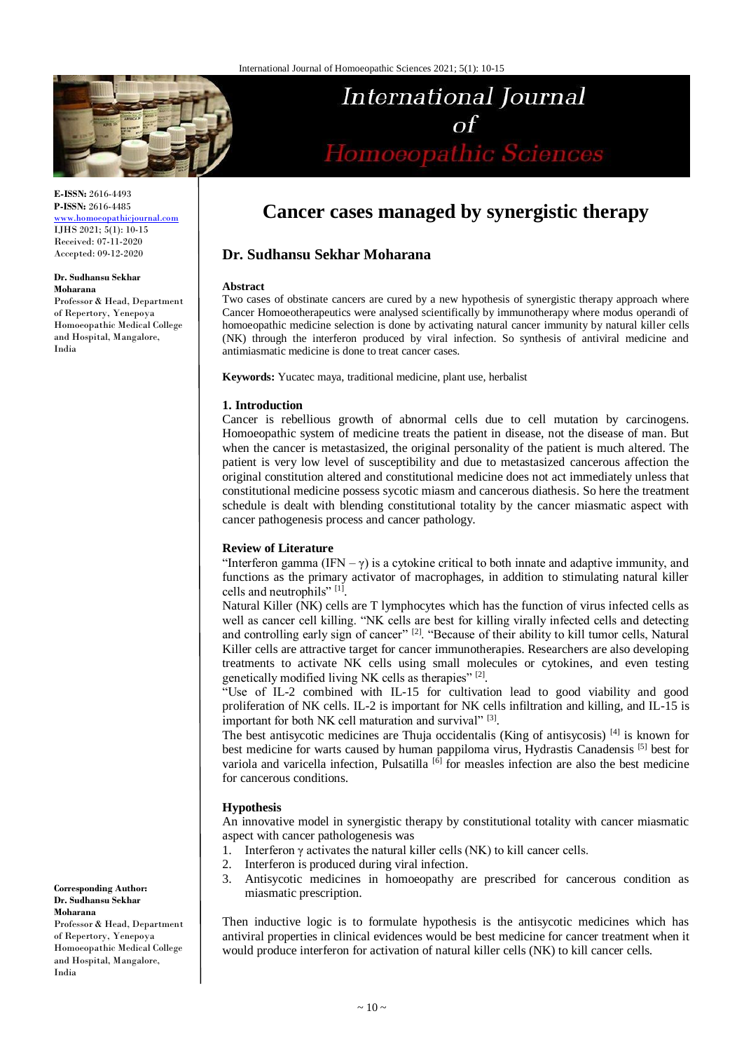

**E-ISSN:** 2616-4493 **P-ISSN:** 2616-4485 www.homoeopathiciournal.com

IJHS 2021; 5(1): 10-15 Received: 07-11-2020 Accepted: 09-12-2020

#### **Dr. Sudhansu Sekhar Moharana**

Professor & Head, Department of Repertory, Yenepoya Homoeopathic Medical College and Hospital, Mangalore, India

# **Cancer cases managed by synergistic therapy**

International Journal

Homoeopathic Sciences

# **Dr. Sudhansu Sekhar Moharana**

### **Abstract**

Two cases of obstinate cancers are cured by a new hypothesis of synergistic therapy approach where Cancer Homoeotherapeutics were analysed scientifically by immunotherapy where modus operandi of homoeopathic medicine selection is done by activating natural cancer immunity by natural killer cells (NK) through the interferon produced by viral infection. So synthesis of antiviral medicine and antimiasmatic medicine is done to treat cancer cases.

**Keywords:** Yucatec maya, traditional medicine, plant use, herbalist

# **1. Introduction**

Cancer is rebellious growth of abnormal cells due to cell mutation by carcinogens. Homoeopathic system of medicine treats the patient in disease, not the disease of man. But when the cancer is metastasized, the original personality of the patient is much altered. The patient is very low level of susceptibility and due to metastasized cancerous affection the original constitution altered and constitutional medicine does not act immediately unless that constitutional medicine possess sycotic miasm and cancerous diathesis. So here the treatment schedule is dealt with blending constitutional totality by the cancer miasmatic aspect with cancer pathogenesis process and cancer pathology.

# **Review of Literature**

"Interferon gamma (IFN –  $\gamma$ ) is a cytokine critical to both innate and adaptive immunity, and functions as the primary activator of macrophages, in addition to stimulating natural killer cells and neutrophils" [1] .

Natural Killer (NK) cells are T lymphocytes which has the function of virus infected cells as well as cancer cell killing. "NK cells are best for killing virally infected cells and detecting and controlling early sign of cancer"<sup>[2]</sup>. "Because of their ability to kill tumor cells, Natural Killer cells are attractive target for cancer immunotherapies. Researchers are also developing treatments to activate NK cells using small molecules or cytokines, and even testing genetically modified living NK cells as therapies" [2].

"Use of IL-2 combined with IL-15 for cultivation lead to good viability and good proliferation of NK cells. IL-2 is important for NK cells infiltration and killing, and IL-15 is important for both NK cell maturation and survival" [3].

The best antisycotic medicines are Thuja occidentalis (King of antisycosis)  $^{[4]}$  is known for best medicine for warts caused by human pappiloma virus, Hydrastis Canadensis [5] best for variola and varicella infection, Pulsatilla<sup>[6]</sup> for measles infection are also the best medicine for cancerous conditions.

# **Hypothesis**

An innovative model in synergistic therapy by constitutional totality with cancer miasmatic aspect with cancer pathologenesis was

- 1. Interferon  $\gamma$  activates the natural killer cells (NK) to kill cancer cells.
- 2. Interferon is produced during viral infection.
- 3. Antisycotic medicines in homoeopathy are prescribed for cancerous condition as miasmatic prescription.

Then inductive logic is to formulate hypothesis is the antisycotic medicines which has antiviral properties in clinical evidences would be best medicine for cancer treatment when it would produce interferon for activation of natural killer cells (NK) to kill cancer cells.

**Corresponding Author: Dr. Sudhansu Sekhar Moharana**

Professor & Head, Department of Repertory, Yenepoya Homoeopathic Medical College and Hospital, Mangalore, India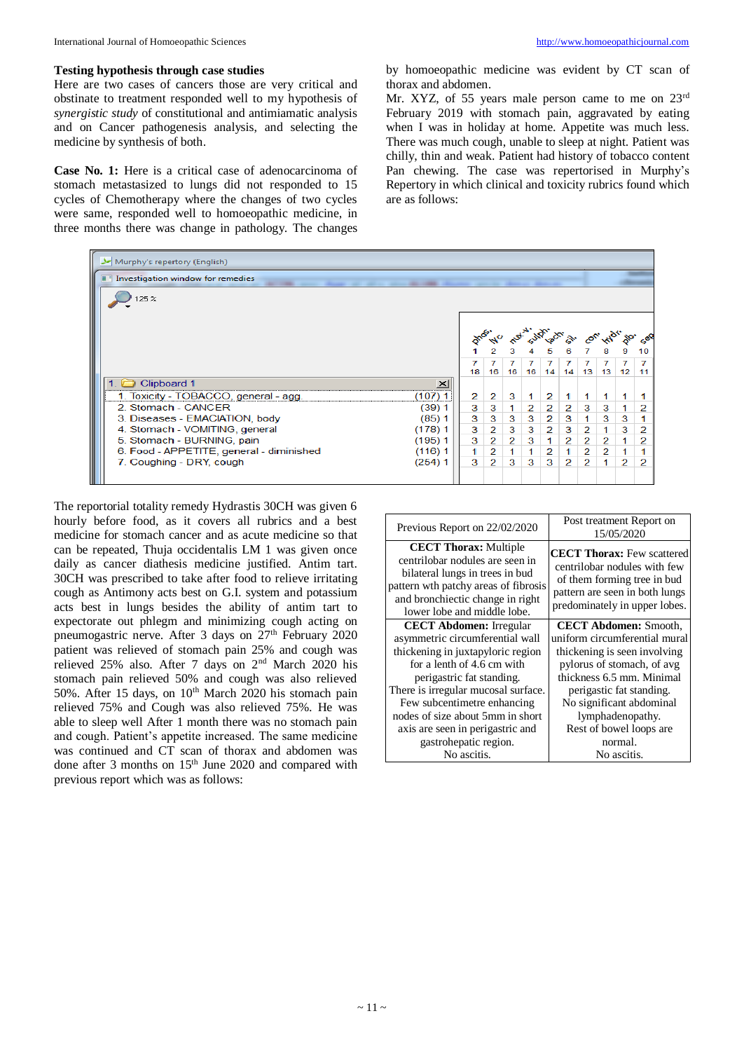Here are two cases of cancers those are very critical and obstinate to treatment responded well to my hypothesis of *synergistic study* of constitutional and antimiamatic analysis and on Cancer pathogenesis analysis, and selecting the medicine by synthesis of both.

**Case No. 1:** Here is a critical case of adenocarcinoma of stomach metastasized to lungs did not responded to 15 cycles of Chemotherapy where the changes of two cycles were same, responded well to homoeopathic medicine, in three months there was change in pathology. The changes by homoeopathic medicine was evident by CT scan of thorax and abdomen.

Mr. XYZ, of 55 years male person came to me on 23rd February 2019 with stomach pain, aggravated by eating when I was in holiday at home. Appetite was much less. There was much cough, unable to sleep at night. Patient was chilly, thin and weak. Patient had history of tobacco content Pan chewing. The case was repertorised in Murphy's Repertory in which clinical and toxicity rubrics found which are as follows:

| Murphy's repertory (English)                                                       |          |                |                      |                |                |                |                |   |                                 |   |          |
|------------------------------------------------------------------------------------|----------|----------------|----------------------|----------------|----------------|----------------|----------------|---|---------------------------------|---|----------|
| Investigation window for remedies<br>all to the de 1980, depose we're done doesn't |          |                |                      |                |                |                |                |   |                                 |   |          |
| 25 %                                                                               |          |                |                      |                |                |                |                |   |                                 |   |          |
|                                                                                    |          |                |                      |                |                |                |                |   | phoside ruting acts on contract |   |          |
|                                                                                    |          |                |                      |                |                |                |                |   |                                 |   | 10       |
|                                                                                    |          | 18             | 7<br>16 <sup>1</sup> | 7.             | 7              | 7              | 7              | 7 | 7<br>16 16 14 14 13 13 12       |   | 7<br>-11 |
| Clipboard 1                                                                        | $\times$ |                |                      |                |                |                |                |   |                                 |   |          |
| 1. Toxicity - TOBACCO, general - agg.                                              | (107) 1  | $\overline{2}$ | 2                    | 3              | 1              | 2              |                |   |                                 |   |          |
| 2. Stomach - CANCER                                                                | (39)1    | 3              | 3                    | 1.             | $\overline{2}$ | $\mathbf{2}$   | $\overline{2}$ | 3 | 3                               |   |          |
| 3. Diseases - EMACIATION, body                                                     | (85) 1   | 3              | 3                    | 3              | 3              | $\overline{2}$ | 3              | 1 | 3                               | 3 |          |
| 4. Stomach - VOMITING, general                                                     | (178)1   | 3              | $\overline{2}$       | 3              | 3              | $\overline{2}$ | 3              | 2 |                                 | 3 | 2        |
| 5. Stomach - BURNING, pain                                                         | (195)1   | 3              | $\overline{2}$       | $\overline{2}$ | з              |                | $\overline{2}$ | 2 | $\overline{2}$                  |   | 2        |
| 6. Food - APPETITE, general - diminished                                           | (116)1   | 1.             | $\overline{2}$       |                | 1              | 2              | 1              | 2 | 2                               |   |          |
| 7. Coughing - DRY, cough                                                           | (254)1   | 3              | $\overline{2}$       | 3              | 3              | 3              | 2              | 2 | 1                               | 2 | 2        |
|                                                                                    |          |                |                      |                |                |                |                |   |                                 |   |          |

The reportorial totality remedy Hydrastis 30CH was given 6 hourly before food, as it covers all rubrics and a best medicine for stomach cancer and as acute medicine so that can be repeated, Thuja occidentalis LM 1 was given once daily as cancer diathesis medicine justified. Antim tart. 30CH was prescribed to take after food to relieve irritating cough as Antimony acts best on G.I. system and potassium acts best in lungs besides the ability of antim tart to expectorate out phlegm and minimizing cough acting on pneumogastric nerve. After 3 days on 27th February 2020 patient was relieved of stomach pain 25% and cough was relieved 25% also. After 7 days on 2nd March 2020 his stomach pain relieved 50% and cough was also relieved 50%. After 15 days, on  $10<sup>th</sup>$  March 2020 his stomach pain relieved 75% and Cough was also relieved 75%. He was able to sleep well After 1 month there was no stomach pain and cough. Patient's appetite increased. The same medicine was continued and CT scan of thorax and abdomen was done after 3 months on 15<sup>th</sup> June 2020 and compared with previous report which was as follows:

| Previous Report on 22/02/2020                                                                                                                                                                                 | Post treatment Report on<br>15/05/2020                                                                                                                              |
|---------------------------------------------------------------------------------------------------------------------------------------------------------------------------------------------------------------|---------------------------------------------------------------------------------------------------------------------------------------------------------------------|
| <b>CECT Thorax:</b> Multiple<br>centrilobar nodules are seen in<br>bilateral lungs in trees in bud<br>pattern wth patchy areas of fibrosis<br>and bronchiectic change in right<br>lower lobe and middle lobe. | <b>CECT Thorax:</b> Few scattered<br>centrilobar nodules with few<br>of them forming tree in bud<br>pattern are seen in both lungs<br>predominately in upper lobes. |
| <b>CECT Abdomen: Irregular</b>                                                                                                                                                                                | <b>CECT Abdomen: Smooth,</b>                                                                                                                                        |
| asymmetric circumferential wall                                                                                                                                                                               | uniform circumferential mural                                                                                                                                       |
| thickening in juxtapyloric region                                                                                                                                                                             | thickening is seen involving                                                                                                                                        |
| for a lenth of 4.6 cm with                                                                                                                                                                                    | pylorus of stomach, of avg                                                                                                                                          |
| perigastric fat standing.                                                                                                                                                                                     | thickness 6.5 mm. Minimal                                                                                                                                           |
| There is irregular mucosal surface.                                                                                                                                                                           | perigastic fat standing.                                                                                                                                            |
| Few subcentimetre enhancing                                                                                                                                                                                   | No significant abdominal                                                                                                                                            |
| nodes of size about 5mm in short                                                                                                                                                                              | lymphadenopathy.                                                                                                                                                    |
| axis are seen in perigastric and                                                                                                                                                                              | Rest of bowel loops are                                                                                                                                             |
| gastrohepatic region.                                                                                                                                                                                         | normal.                                                                                                                                                             |
| No ascitis.                                                                                                                                                                                                   | No ascitis.                                                                                                                                                         |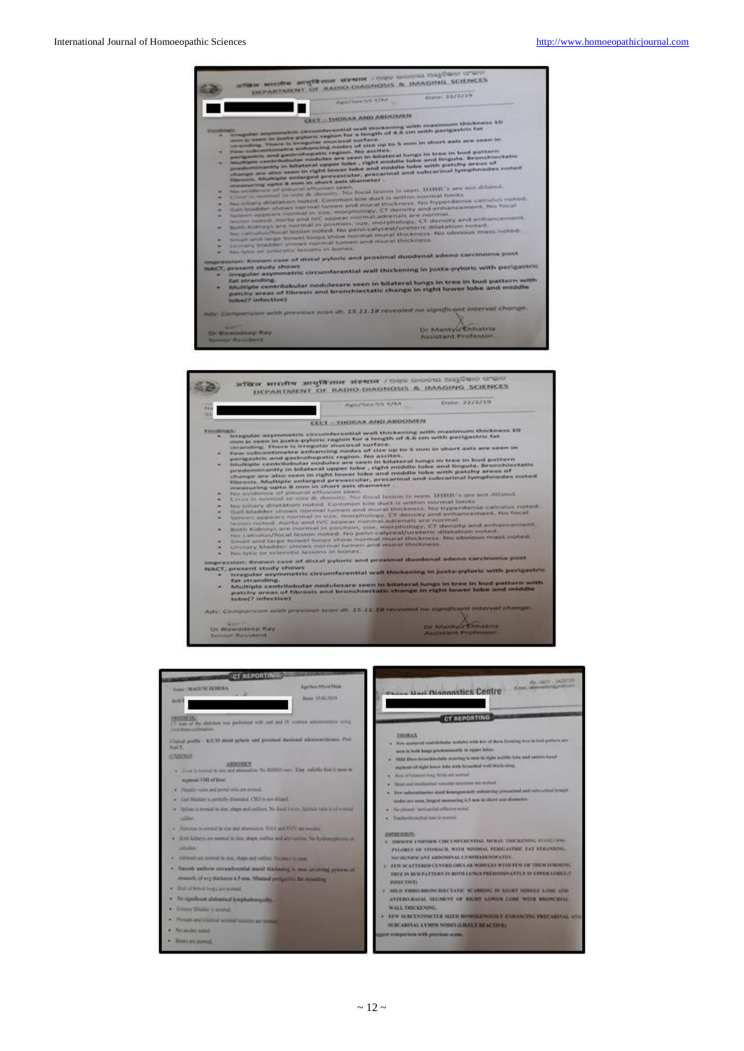

- 
- 
- $\cdots$
- 
- 
- 
- ${\bf ReACF}, {\bf prescent~Mody~shows.} {\bf Reavescent~Mody~shows.} {\bf Reavescent~Mudy~shows.} {\bf ReACF}, {\bf prescent~Mudy~shows.} {\bf Reavescent~Mudy~shows.} {\bf Reavescent~Mudy~shows.} {\bf Reavescent~Mody~shows.} {\bf Reavescent~Moly.} {\bf Reavescent~Moly.} {\bf Reavescent~Moly.} {\bf Reavescent~Moly.} {\bf Reavescent~Mely.} {\bf Reavescent~Mely.} {\bf Reavescent~Mely.} {\bf Reavescent~Mely.} {\bf Revescent~Mely.} {\bf Revescent~Mely.} {\bf Revescent~Mely.} {\bf Revescent~Mely.$
- 
- Adv: Comparison with previous scan at, 15.13.18 revealed no significant interval change
- Dr Biswadeep Ray<br>Senior Resident

Dr Mantyle Enhance

| <b>CT REPORTING</b>                                                                                                                                                                                                                                                                                                                                                                                                                                                                                                                                                      |                                            |                                                                                                                                                                                                                                                                                                                                                                                                                                                                                                                                                                                                                                                                                                             |
|--------------------------------------------------------------------------------------------------------------------------------------------------------------------------------------------------------------------------------------------------------------------------------------------------------------------------------------------------------------------------------------------------------------------------------------------------------------------------------------------------------------------------------------------------------------------------|--------------------------------------------|-------------------------------------------------------------------------------------------------------------------------------------------------------------------------------------------------------------------------------------------------------------------------------------------------------------------------------------------------------------------------------------------------------------------------------------------------------------------------------------------------------------------------------------------------------------------------------------------------------------------------------------------------------------------------------------------------------------|
| <b>SAME DEALERS IN THE R.A.</b><br><b>Jacks</b>                                                                                                                                                                                                                                                                                                                                                                                                                                                                                                                          | Aus-Nex-Missishibit<br>Daniel 23, 86, 2413 | PR. DOTT - 2423715<br><b>E mail, allowadated construction</b><br><b>Chess Hart Diannostics Centre</b>                                                                                                                                                                                                                                                                                                                                                                                                                                                                                                                                                                                                       |
| <b><i>PERSONAL PROPERTY</i></b><br>of the abdomen was performed with and and IV contrast adversasing using<br>and done numbered in                                                                                                                                                                                                                                                                                                                                                                                                                                       |                                            | <b>CT REPORTING</b>                                                                                                                                                                                                                                                                                                                                                                                                                                                                                                                                                                                                                                                                                         |
| Classed prefits   K/CO drived polarie and provinced durational subconstribution. Post<br><b>NACE</b><br><b>FOUNDATION</b><br><b>ARISONE'S</b><br>· Ever is some in one and attenuation No BIRED unto They subside feel is seen in<br>secretaries VIII of Breen.<br>. Flend's value and perful value are noticed.<br>· Call Righler is partially dimensed, CRD is set 35 and<br>. Solars is terreal in size, shape and relition. No final frients Splanks were is of virtual<br><b>CATALOG</b><br>a "Players) is several in size and attenuation. TAA and TAY are social. |                                            | <b>REGISTER</b><br>. For scattered contributed workers with fire of them forming too in bod pottern are<br>same in both hongs governmentative or equal labou-<br>. Mild then broad blockets courring is now to right mildle liche and acture based<br>supercent of regist house tobe with becombined world this handing.<br>w - Rost of Industrial hong thefuls are normaal.<br>· Host and medicated you che reschere are accessi-<br>v . For subscritereity steel lonnegrounds enhancing procedual and rebesting troups<br>moles are seen, between measuring a 5 was in short axis discussion.<br>. The pleasant 1 personalized affirming system.<br>. Trachambroachial tree is somed-<br><b>INFRESHON</b> |
| . But kineys are remained as you, shape, outling and attenuation. No hydrosophoresis or<br><b>SERVICE</b>                                                                                                                                                                                                                                                                                                                                                                                                                                                                |                                            | F BROOTH ENITORN CIRCUMFERENTIAL MURAL THICKENING EVVIL 1991.<br>PEORES OF STOMACH, WITH MINIMAL PEDGANTIZE EXT STRANDING.                                                                                                                                                                                                                                                                                                                                                                                                                                                                                                                                                                                  |
| · All trends are normal in you, shape and seeling. No must be sum-<br>. Social anthractiveshouted word fishering is not analyze printer of<br>smouth, of any thinkness it 5 anis. Misland per gain't; fut strunding                                                                                                                                                                                                                                                                                                                                                      |                                            | NO GENERAL ANT ARDONIVAL LYMPHADE SOPATIVE.<br><b>B. FER SCATTERER CENTRILORCLAR NOBELES WITH YEW OF THEM FORMING</b><br>TREE IN BED PATTERN IN BOTH LENGT PREDOMINANTLY IN CPPER LOBER (2)<br><b>INFECTIVE:</b>                                                                                                                                                                                                                                                                                                                                                                                                                                                                                            |
| . That of honel loops are noticed.                                                                                                                                                                                                                                                                                                                                                                                                                                                                                                                                       |                                            | MILIS FINIS ENGINE HILL LATE: SCAREING IN KNIHT MINGLE LINE AND                                                                                                                                                                                                                                                                                                                                                                                                                                                                                                                                                                                                                                             |
| · No apsilicant abdominal hymphodemosalini                                                                                                                                                                                                                                                                                                                                                                                                                                                                                                                               |                                            | ANTERO BASAL SEGMENT OF BRIEF LOWER LORE WITH BROWCHLAT                                                                                                                                                                                                                                                                                                                                                                                                                                                                                                                                                                                                                                                     |
| . Univery Middle is married.                                                                                                                                                                                                                                                                                                                                                                                                                                                                                                                                             |                                            | <b>WALL THE RENDG</b>                                                                                                                                                                                                                                                                                                                                                                                                                                                                                                                                                                                                                                                                                       |
| . Person and biliness serving tenights are women                                                                                                                                                                                                                                                                                                                                                                                                                                                                                                                         |                                            | FEW SERCENTIVETER SIZED HOMOGENOUSLY ENRANCING PRECABINAL AND<br><b>MECARINAL LYMPH NOBES (LIKELY BEACTIVE)</b>                                                                                                                                                                                                                                                                                                                                                                                                                                                                                                                                                                                             |
| . No suites total                                                                                                                                                                                                                                                                                                                                                                                                                                                                                                                                                        |                                            | great comparison with previous scans.                                                                                                                                                                                                                                                                                                                                                                                                                                                                                                                                                                                                                                                                       |
| · Bounternooned                                                                                                                                                                                                                                                                                                                                                                                                                                                                                                                                                          |                                            |                                                                                                                                                                                                                                                                                                                                                                                                                                                                                                                                                                                                                                                                                                             |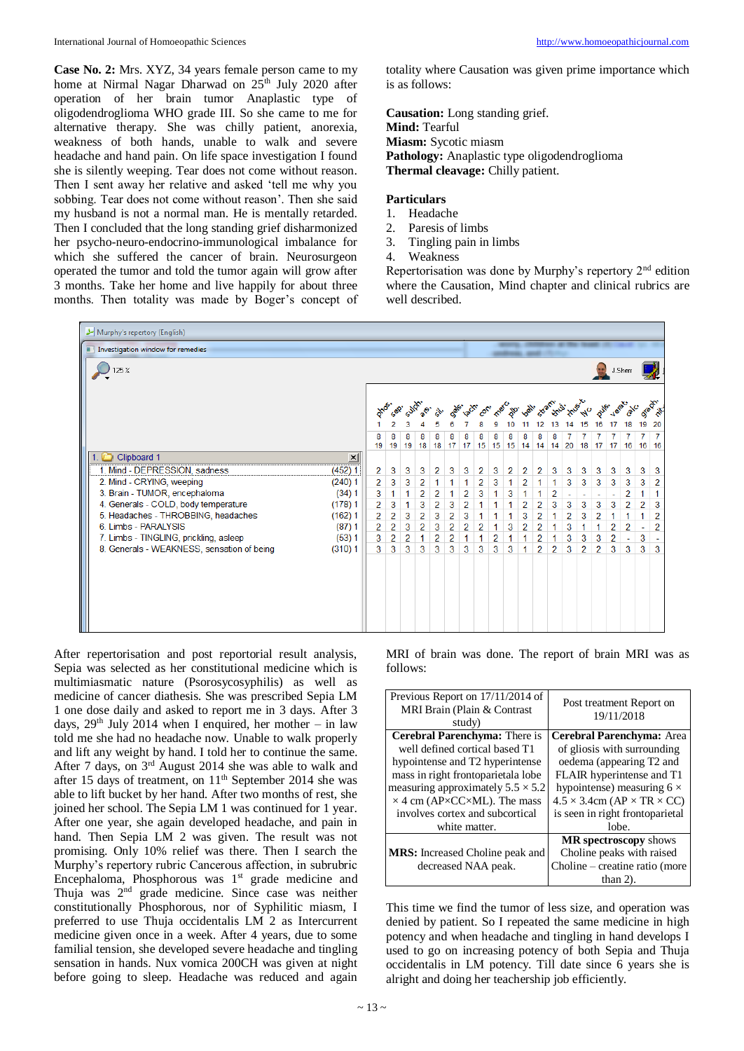**Case No. 2:** Mrs. XYZ, 34 years female person came to my home at Nirmal Nagar Dharwad on  $25<sup>th</sup>$  July 2020 after operation of her brain tumor Anaplastic type of oligodendroglioma WHO grade III. So she came to me for alternative therapy. She was chilly patient, anorexia, weakness of both hands, unable to walk and severe headache and hand pain. On life space investigation I found she is silently weeping. Tear does not come without reason. Then I sent away her relative and asked 'tell me why you sobbing. Tear does not come without reason'. Then she said my husband is not a normal man. He is mentally retarded. Then I concluded that the long standing grief disharmonized her psycho-neuro-endocrino-immunological imbalance for which she suffered the cancer of brain. Neurosurgeon operated the tumor and told the tumor again will grow after 3 months. Take her home and live happily for about three months. Then totality was made by Boger's concept of

totality where Causation was given prime importance which is as follows:

**Causation:** Long standing grief. **Mind:** Tearful **Miasm:** Sycotic miasm **Pathology:** Anaplastic type oligodendroglioma **Thermal cleavage:** Chilly patient.

# **Particulars**

- 1. Headache
- 2. Paresis of limbs
- 3. Tingling pain in limbs
- 4. Weakness

Repertorisation was done by Murphy's repertory  $2<sup>nd</sup>$  edition where the Causation, Mind chapter and clinical rubrics are well described.

| Murphy's repertory (English)                         |                |                |            |                |          |                |                                                 |                |   |                |                |                |    |    |                |    |                                 |                          |                |   |
|------------------------------------------------------|----------------|----------------|------------|----------------|----------|----------------|-------------------------------------------------|----------------|---|----------------|----------------|----------------|----|----|----------------|----|---------------------------------|--------------------------|----------------|---|
| Investigation window for remedies                    |                |                |            |                |          |                |                                                 |                |   |                |                |                |    |    |                |    |                                 |                          |                |   |
| 125 %                                                |                |                |            |                |          |                |                                                 |                |   |                |                |                |    |    |                |    | J.Sherr                         |                          |                |   |
|                                                      | over.          | Sept           |            |                |          |                | ger act on the go. As for the time to the date. |                |   |                |                |                | 13 | 14 | 15             | 16 | <b>Veiat:</b><br>17             | 18                       | 19 20          |   |
|                                                      | 8<br>19        | 8<br>19        | 8<br>19 18 | 8              | 8<br> 18 | 8<br>17        | 8<br>$\frac{1}{17}$                             | 8<br>15        | 8 | 8              | 8              | 8              | 8  | 7  | 7              | 7  | 7<br>15 15 14 14 14 20 18 17 17 | 7                        | 7<br>16 16 16  | 7 |
| Clipboard 1<br>⊻                                     |                |                |            |                |          |                |                                                 |                |   |                |                |                |    |    |                |    |                                 |                          |                |   |
| (452) 1<br>1. Mind - DEPRESSION, sadness             | $\overline{2}$ | 3              | 3          | 3              | 2        | 3              | 3                                               | $\overline{2}$ | 3 | $\overline{2}$ | 2              | 2              | 3  | 3  | 3              | 3  | 3                               | 3                        | 3              | 3 |
| (240)1<br>2. Mind - CRYING, weeping                  | 2              | 3              | 3          | $\overline{2}$ |          |                | 1                                               | $\overline{2}$ | 3 | 1              | 2              | 1              |    | 3  | 3              | 3  | 3                               | 3                        | 3              | 2 |
| 3. Brain - TUMOR, encephaloma<br>(34)1               | 3              |                | 1          | 2              | 2        | 1              | 2                                               | 3              | 1 | 3              |                |                | 2  | ÷. | ÷              | ٠  |                                 | 2                        |                |   |
| 4. Generals - COLD, body temperature<br>(178)1       | $\overline{2}$ | 3              |            | 3              | 2        | 3              | 2                                               | 1              |   |                | $\overline{2}$ | $\overline{2}$ | 3  | 3  | 3              | 3  | 3                               | $\overline{2}$           | $\overline{2}$ | 3 |
| 5. Headaches - THROBBING, headaches<br>(162)1        | 2              | 2              | 3          | 2              | 3        | 2              | 3                                               | 1              |   |                | 3              | 2              |    | 2  | 3              | 2  | 1                               | 1                        |                | 2 |
| 6. Limbs - PARALYSIS<br>(87)1                        | $\overline{2}$ | $\overline{2}$ | 3          | $\overline{2}$ | 3        | $\overline{2}$ | 2                                               | $\overline{2}$ | 1 | 3              | $\overline{2}$ | $\overline{2}$ |    | 3  |                | 1  | $\overline{2}$                  | $\overline{2}$           |                | 2 |
| 7. Limbs - TINGLING, prickling, asleep<br>(53) 1     | 3              | 2              | 2          | 1              | 2        | 2              |                                                 | 1              | 2 |                |                | 2              |    | 3  | 3              | 3  | 2                               | $\overline{\phantom{a}}$ | 3              |   |
| (310)1<br>8. Generals - WEAKNESS, sensation of being | 3              | 3              | 3          | 3              | 3        | 3              | 3                                               | 3              | 3 | 3              |                | $\overline{2}$ | 2  | 3  | $\overline{2}$ | 2  | 3                               | 3                        | 3              | 3 |
|                                                      |                |                |            |                |          |                |                                                 |                |   |                |                |                |    |    |                |    |                                 |                          |                |   |

After repertorisation and post reportorial result analysis, Sepia was selected as her constitutional medicine which is multimiasmatic nature (Psorosycosyphilis) as well as medicine of cancer diathesis. She was prescribed Sepia LM 1 one dose daily and asked to report me in 3 days. After 3 days,  $29<sup>th</sup>$  July 2014 when I enquired, her mother – in law told me she had no headache now. Unable to walk properly and lift any weight by hand. I told her to continue the same. After 7 days, on  $3<sup>rd</sup>$  August 2014 she was able to walk and after 15 days of treatment, on 11th September 2014 she was able to lift bucket by her hand. After two months of rest, she joined her school. The Sepia LM 1 was continued for 1 year. After one year, she again developed headache, and pain in hand. Then Sepia LM 2 was given. The result was not promising. Only 10% relief was there. Then I search the Murphy's repertory rubric Cancerous affection, in subrubric Encephaloma, Phosphorous was 1<sup>st</sup> grade medicine and Thuja was 2<sup>nd</sup> grade medicine. Since case was neither constitutionally Phosphorous, nor of Syphilitic miasm, I preferred to use Thuja occidentalis LM 2 as Intercurrent medicine given once in a week. After 4 years, due to some familial tension, she developed severe headache and tingling sensation in hands. Nux vomica 200CH was given at night before going to sleep. Headache was reduced and again

MRI of brain was done. The report of brain MRI was as follows:

| Previous Report on 17/11/2014 of<br>MRI Brain (Plain & Contrast<br>study) | Post treatment Report on<br>19/11/2018           |
|---------------------------------------------------------------------------|--------------------------------------------------|
| Cerebral Parenchyma: There is                                             | Cerebral Parenchyma: Area                        |
| well defined cortical based T1                                            | of gliosis with surrounding                      |
| hypointense and T2 hyperintense                                           | oedema (appearing T2 and                         |
| mass in right frontoparietala lobe                                        | FLAIR hyperintense and T1                        |
| measuring approximately $5.5 \times 5.2$                                  | hypointense) measuring $6 \times$                |
| $\times$ 4 cm (AP $\times$ CC $\times$ ML). The mass                      | $4.5 \times 3.4$ cm (AP $\times$ TR $\times$ CC) |
| involves cortex and subcortical                                           | is seen in right frontoparietal                  |
| white matter.                                                             | lobe.                                            |
|                                                                           | <b>MR</b> spectroscopy shows                     |
| <b>MRS:</b> Increased Choline peak and                                    | Choline peaks with raised                        |
| decreased NAA peak.                                                       | Choline – creatine ratio (more                   |
|                                                                           | than $2$ ).                                      |

This time we find the tumor of less size, and operation was denied by patient. So I repeated the same medicine in high potency and when headache and tingling in hand develops I used to go on increasing potency of both Sepia and Thuja occidentalis in LM potency. Till date since 6 years she is alright and doing her teachership job efficiently.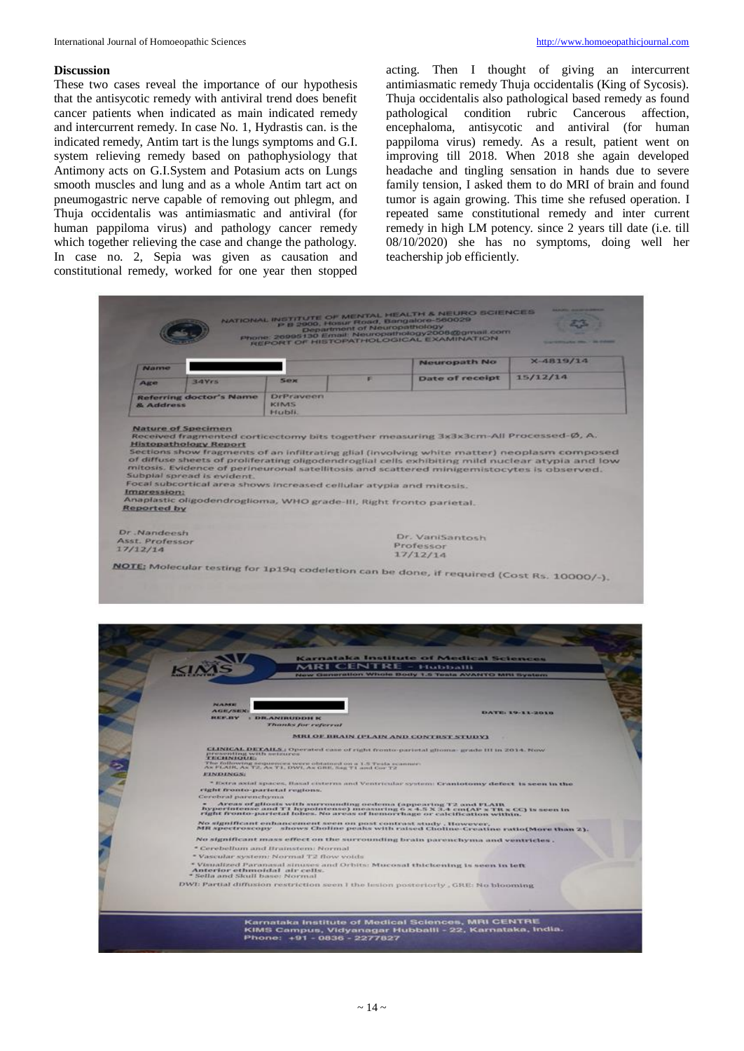#### **Discussion**

These two cases reveal the importance of our hypothesis that the antisycotic remedy with antiviral trend does benefit cancer patients when indicated as main indicated remedy and intercurrent remedy. In case No. 1, Hydrastis can. is the indicated remedy, Antim tart is the lungs symptoms and G.I. system relieving remedy based on pathophysiology that Antimony acts on G.I.System and Potasium acts on Lungs smooth muscles and lung and as a whole Antim tart act on pneumogastric nerve capable of removing out phlegm, and Thuja occidentalis was antimiasmatic and antiviral (for human pappiloma virus) and pathology cancer remedy which together relieving the case and change the pathology. In case no. 2, Sepia was given as causation and constitutional remedy, worked for one year then stopped

acting. Then I thought of giving an intercurrent antimiasmatic remedy Thuja occidentalis (King of Sycosis). Thuja occidentalis also pathological based remedy as found pathological condition rubric Cancerous affection, encephaloma, antisycotic and antiviral (for human pappiloma virus) remedy. As a result, patient went on improving till 2018. When 2018 she again developed headache and tingling sensation in hands due to severe family tension, I asked them to do MRI of brain and found tumor is again growing. This time she refused operation. I repeated same constitutional remedy and inter current remedy in high LM potency. since 2 years till date (i.e. till 08/10/2020) she has no symptoms, doing well her teachership job efficiently.